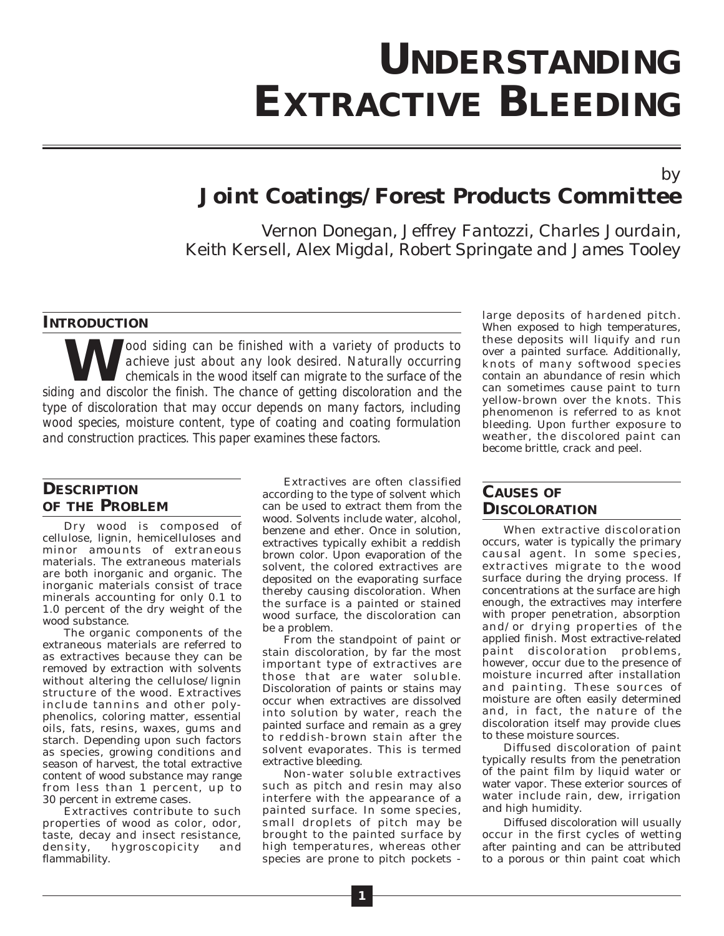# **UNDERSTANDING EXTRACTIVE BLEEDING**

# *by* **Joint Coatings/Forest Products Committee**

*Vernon Donegan, Jeffrey Fantozzi, Charles Jourdain, Keith Kersell, Alex Migdal, Robert Springate and James Tooley*

### **INTRODUCTION**

**Ware the siding can be finished with a variety of products to achieve just about any look desired. Naturally occurring chemicals in the wood itself can migrate to the surface of the product the finish. The chance of getti** *achieve just about any look desired. Naturally occurring chemicals in the wood itself can migrate to the surface of the siding and discolor the finish. The chance of getting discoloration and the type of discoloration that may occur depends on many factors, including wood species, moisture content, type of coating and coating formulation and construction practices. This paper examines these factors.*

## **DESCRIPTION OF THE PROBLEM**

Dry wood is composed of cellulose, lignin, hemicelluloses and minor amounts of extraneous materials. The extraneous materials are both inorganic and organic. The inorganic materials consist of trace minerals accounting for only 0.1 to 1.0 percent of the dry weight of the wood substance.

The organic components of the extraneous materials are referred to as extractives because they can be removed by extraction with solvents without altering the cellulose/lignin structure of the wood. Extractives include tannins and other polyphenolics, coloring matter, essential oils, fats, resins, waxes, gums and starch. Depending upon such factors as species, growing conditions and season of harvest, the total extractive content of wood substance may range from less than 1 percent, up to 30 percent in extreme cases.

Extractives contribute to such properties of wood as color, odor, taste, decay and insect resistance, density, hygroscopicity and flammability.

Extractives are often classified according to the type of solvent which can be used to extract them from the wood. Solvents include water, alcohol, benzene and ether. Once in solution, extractives typically exhibit a reddish brown color. Upon evaporation of the solvent, the colored extractives are deposited on the evaporating surface thereby causing discoloration. When the surface is a painted or stained wood surface, the discoloration can be a problem.

From the standpoint of paint or stain discoloration, by far the most important type of extractives are those that are water soluble. Discoloration of paints or stains may occur when extractives are dissolved into solution by water, reach the painted surface and remain as a grey to reddish-brown stain after the solvent evaporates. This is termed extractive bleeding.

Non-water soluble extractives such as pitch and resin may also interfere with the appearance of a painted surface. In some species, small droplets of pitch may be brought to the painted surface by high temperatures, whereas other species are prone to pitch pockets -

large deposits of hardened pitch. When exposed to high temperatures, these deposits will liquify and run over a painted surface. Additionally, knots of many softwood species contain an abundance of resin which can sometimes cause paint to turn yellow-brown over the knots. This phenomenon is referred to as knot bleeding. Upon further exposure to weather, the discolored paint can become brittle, crack and peel.

## **CAUSES OF DISCOLORATION**

When extractive discoloration occurs, water is typically the primary causal agent. In some species, extractives migrate to the wood surface during the drying process. If concentrations at the surface are high enough, the extractives may interfere with proper penetration, absorption and/or drying properties of the applied finish. Most extractive-related paint discoloration problems, however, occur due to the presence of moisture incurred after installation and painting. These sources of moisture are often easily determined and, in fact, the nature of the discoloration itself may provide clues to these moisture sources.

Diffused discoloration of paint typically results from the penetration of the paint film by liquid water or water vapor. These exterior sources of water include rain, dew, irrigation and high humidity.

Diffused discoloration will usually occur in the first cycles of wetting after painting and can be attributed to a porous or thin paint coat which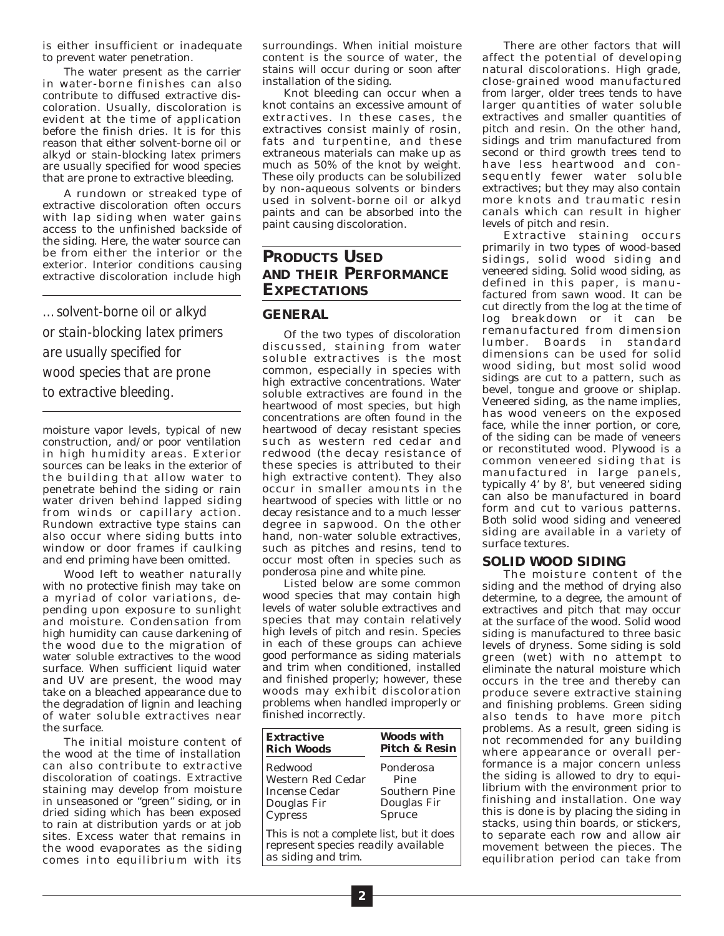is either insufficient or inadequate to prevent water penetration.

The water present as the carrier in water-borne finishes can also contribute to diffused extractive discoloration. Usually, discoloration is evident at the time of application before the finish dries. It is for this reason that either solvent-borne oil or alkyd or stain-blocking latex primers are usually specified for wood species that are prone to extractive bleeding.

A rundown or streaked type of extractive discoloration often occurs with lap siding when water gains access to the unfinished backside of the siding. Here, the water source can be from either the interior or the exterior. Interior conditions causing extractive discoloration include high

*…solvent-borne oil or alkyd or stain-blocking latex primers are usually specified for wood species that are prone to extractive bleeding.*

moisture vapor levels, typical of new construction, and/or poor ventilation in high humidity areas. Exterior sources can be leaks in the exterior of the building that allow water to penetrate behind the siding or rain water driven behind lapped siding from winds or capillary action. Rundown extractive type stains can also occur where siding butts into window or door frames if caulking and end priming have been omitted.

Wood left to weather naturally with no protective finish may take on a myriad of color variations, depending upon exposure to sunlight and moisture. Condensation from high humidity can cause darkening of the wood due to the migration of water soluble extractives to the wood surface. When sufficient liquid water and UV are present, the wood may take on a bleached appearance due to the degradation of lignin and leaching of water soluble extractives near the surface.

The initial moisture content of the wood at the time of installation can also contribute to extractive discoloration of coatings. Extractive staining may develop from moisture in unseasoned or "green" siding, or in dried siding which has been exposed to rain at distribution yards or at job sites. Excess water that remains in the wood evaporates as the siding comes into equilibrium with its surroundings. When initial moisture content is the source of water, the stains will occur during or soon after installation of the siding.

Knot bleeding can occur when a knot contains an excessive amount of extractives. In these cases, the extractives consist mainly of rosin, fats and turpentine, and these extraneous materials can make up as much as 50% of the knot by weight. These oily products can be solubilized by non-aqueous solvents or binders used in solvent-borne oil or alkyd paints and can be absorbed into the paint causing discoloration.

## **PRODUCTS USED AND THEIR PERFORMANCE EXPECTATIONS**

#### **GENERAL**

Of the two types of discoloration discussed, staining from water soluble extractives is the most common, especially in species with high extractive concentrations. Water soluble extractives are found in the heartwood of most species, but high concentrations are often found in the heartwood of decay resistant species such as western red cedar and redwood (the decay resistance of these species is attributed to their high extractive content). They also occur in smaller amounts in the heartwood of species with little or no decay resistance and to a much lesser degree in sapwood. On the other hand, non-water soluble extractives, such as pitches and resins, tend to occur most often in species such as ponderosa pine and white pine.

Listed below are some common wood species that may contain high levels of water soluble extractives and species that may contain relatively high levels of pitch and resin. Species in each of these groups can achieve good performance as siding materials and trim when conditioned, installed and finished properly; however, these woods may exhibit discoloration problems when handled improperly or finished incorrectly.

| <b>Extractive</b><br><b>Rich Woods</b>                                                                 | <b>Woods with</b><br><b>Pitch &amp; Resin</b> |
|--------------------------------------------------------------------------------------------------------|-----------------------------------------------|
| Redwood                                                                                                | Ponderosa                                     |
| Western Red Cedar                                                                                      | Pine                                          |
| Incense Cedar                                                                                          | Southern Pine                                 |
| Douglas Fir                                                                                            | Douglas Fir                                   |
| <b>Cypress</b>                                                                                         | <b>Spruce</b>                                 |
| This is not a complete list, but it does<br>represent species readily available<br>as siding and trim. |                                               |

There are other factors that will affect the potential of developing natural discolorations. High grade, close-grained wood manufactured from larger, older trees tends to have larger quantities of water soluble extractives and smaller quantities of pitch and resin. On the other hand, sidings and trim manufactured from second or third growth trees tend to have less heartwood and consequently fewer water soluble extractives; but they may also contain more knots and traumatic resin canals which can result in higher levels of pitch and resin.

Extractive staining occurs primarily in two types of wood-based sidings, solid wood siding and veneered siding. Solid wood siding, as defined in this paper, is manufactured from sawn wood. It can be cut directly from the log at the time of log breakdown or it can be remanufactured from dimension lumber. Boards in standard dimensions can be used for solid wood siding, but most solid wood sidings are cut to a pattern, such as bevel, tongue and groove or shiplap. Veneered siding, as the name implies, has wood veneers on the exposed face, while the inner portion, or core, of the siding can be made of veneers or reconstituted wood. Plywood is a common veneered siding that is manufactured in large panels, typically 4' by 8', but veneered siding can also be manufactured in board form and cut to various patterns. Both solid wood siding and veneered siding are available in a variety of surface textures.

#### **SOLID WOOD SIDING**

The moisture content of the siding and the method of drying also determine, to a degree, the amount of extractives and pitch that may occur at the surface of the wood. Solid wood siding is manufactured to three basic levels of dryness. Some siding is sold green (wet) with no attempt to eliminate the natural moisture which occurs in the tree and thereby can produce severe extractive staining and finishing problems. Green siding also tends to have more pitch problems. As a result, green siding is not recommended for any building where appearance or overall performance is a major concern unless the siding is allowed to dry to equilibrium with the environment prior to finishing and installation. One way this is done is by placing the siding in stacks, using thin boards, or stickers, to separate each row and allow air movement between the pieces. The equilibration period can take from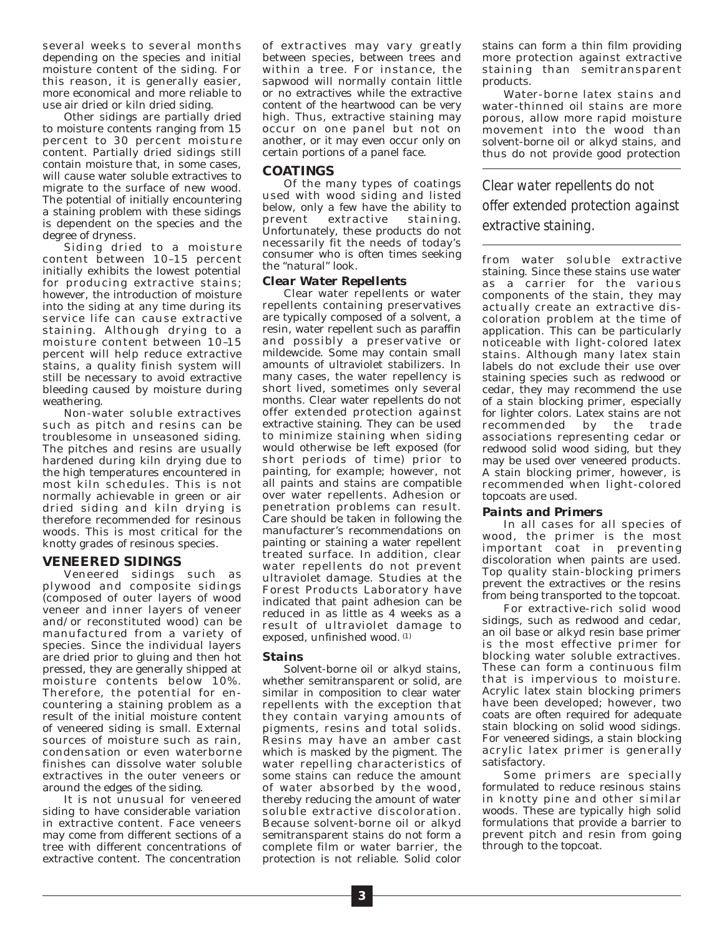several weeks to several months depending on the species and initial moisture content of the siding. For this reason, it is generally easier, more economical and more reliable to use air dried or kiln dried siding.

Other sidings are partially dried to moisture contents ranging from 15 percent to 30 percent moisture content. Partially dried sidings still contain moisture that, in some cases, will cause water soluble extractives to migrate to the surface of new wood. The potential of initially encountering a staining problem with these sidings is dependent on the species and the degree of dryness.

Siding dried to a moisture content between 10–15 percent initially exhibits the lowest potential for producing extractive stains; however, the introduction of moisture into the siding at any time during its service life can cause extractive staining. Although drying to a moisture content between 10–15 percent will help reduce extractive stains, a quality finish system will still be necessary to avoid extractive bleeding caused by moisture during weathering.

Non-water soluble extractives such as pitch and resins can be troublesome in unseasoned siding. The pitches and resins are usually hardened during kiln drying due to the high temperatures encountered in most kiln schedules. This is not normally achievable in green or air dried siding and kiln drying is therefore recommended for resinous woods. This is most critical for the knotty grades of resinous species.

#### **VENEERED SIDINGS**

Veneered sidings such as plywood and composite sidings (composed of outer layers of wood veneer and inner layers of veneer and/or reconstituted wood) can be manufactured from a variety of species. Since the individual layers are dried prior to gluing and then hot pressed, they are generally shipped at moisture contents below 10%. Therefore, the potential for encountering a staining problem as a result of the initial moisture content of veneered siding is small. External sources of moisture such as rain, condensation or even waterborne finishes can dissolve water soluble extractives in the outer veneers or around the edges of the siding.

It is not unusual for veneered siding to have considerable variation in extractive content. Face veneers may come from different sections of a tree with different concentrations of extractive content. The concentration of extractives may vary greatly between species, between trees and within a tree. For instance, the sapwood will normally contain little or no extractives while the extractive content of the heartwood can be very high. Thus, extractive staining may occur on one panel but not on another, or it may even occur only on certain portions of a panel face.

#### **COATINGS**

Of the many types of coatings used with wood siding and listed below, only a few have the ability to<br>prevent extractive staining. prevent extractive Unfortunately, these products do not necessarily fit the needs of today's consumer who is often times seeking the "natural" look.

#### *Clear Water Repellents*

Clear water repellents or water repellents containing preservatives are typically composed of a solvent, a resin, water repellent such as paraffin and possibly a preservative or mildewcide. Some may contain small amounts of ultraviolet stabilizers. In many cases, the water repellency is short lived, sometimes only several months. Clear water repellents do not offer extended protection against extractive staining. They can be used to minimize staining when siding would otherwise be left exposed (for short periods of time) prior to painting, for example; however, not all paints and stains are compatible over water repellents. Adhesion or penetration problems can result. Care should be taken in following the manufacturer's recommendations on painting or staining a water repellent treated surface. In addition, clear water repellents do not prevent ultraviolet damage. Studies at the Forest Products Laboratory have indicated that paint adhesion can be reduced in as little as 4 weeks as a result of ultraviolet damage to exposed, unfinished wood. (1)

#### *Stains*

Solvent-borne oil or alkyd stains, whether semitransparent or solid, are similar in composition to clear water repellents with the exception that they contain varying amounts of pigments, resins and total solids. Resins may have an amber cast which is masked by the pigment. The water repelling characteristics of some stains can reduce the amount of water absorbed by the wood, thereby reducing the amount of water soluble extractive discoloration. Because solvent-borne oil or alkyd semitransparent stains do not form a complete film or water barrier, the protection is not reliable. Solid color

stains can form a thin film providing more protection against extractive staining than semitransparent products.

Water-borne latex stains and water-thinned oil stains are more porous, allow more rapid moisture movement into the wood than solvent-borne oil or alkyd stains, and thus do not provide good protection

*Clear water repellents do not offer extended protection against extractive staining.*

from water soluble extractive staining. Since these stains use water as a carrier for the various components of the stain, they may actually create an extractive discoloration problem at the time of application. This can be particularly noticeable with light-colored latex stains. Although many latex stain labels do not exclude their use over staining species such as redwood or cedar, they may recommend the use of a stain blocking primer, especially for lighter colors. Latex stains are not recommended by the trade associations representing cedar or redwood solid wood siding, but they may be used over veneered products. A stain blocking primer, however, is recommended when light-colored topcoats are used.

#### *Paints and Primers*

In all cases for all species of wood, the primer is the most important coat in preventing discoloration when paints are used. Top quality stain-blocking primers prevent the extractives or the resins from being transported to the topcoat.

For extractive-rich solid wood sidings, such as redwood and cedar, an oil base or alkyd resin base primer is the most effective primer for blocking water soluble extractives. These can form a continuous film that is impervious to moisture. Acrylic latex stain blocking primers have been developed; however, two coats are often required for adequate stain blocking on solid wood sidings. For veneered sidings, a stain blocking acrylic latex primer is generally satisfactory.

Some primers are specially formulated to reduce resinous stains in knotty pine and other similar woods. These are typically high solid formulations that provide a barrier to prevent pitch and resin from going through to the topcoat.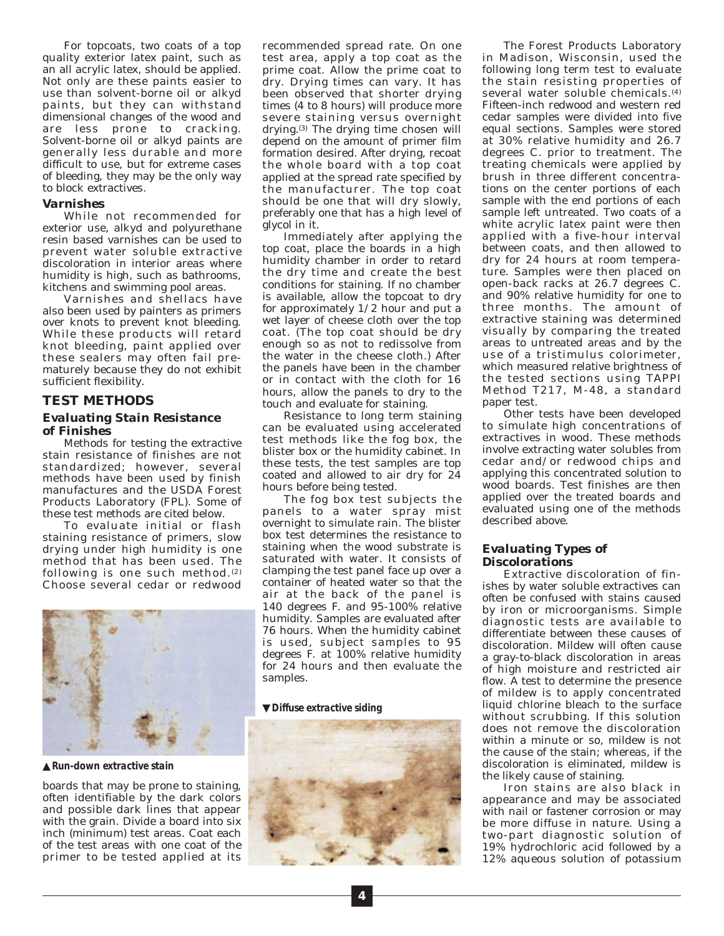For topcoats, two coats of a top quality exterior latex paint, such as an all acrylic latex, should be applied. Not only are these paints easier to use than solvent-borne oil or alkyd paints, but they can withstand dimensional changes of the wood and are less prone to cracking. Solvent-borne oil or alkyd paints are generally less durable and more difficult to use, but for extreme cases of bleeding, they may be the only way to block extractives.

#### *Varnishes*

While not recommended for exterior use, alkyd and polyurethane resin based varnishes can be used to prevent water soluble extractive discoloration in interior areas where humidity is high, such as bathrooms, kitchens and swimming pool areas.

Varnishes and shellacs have also been used by painters as primers over knots to prevent knot bleeding. While these products will retard knot bleeding, paint applied over these sealers may often fail prematurely because they do not exhibit sufficient flexibility.

## **TEST METHODS**

#### *Evaluating Stain Resistance of Finishes*

Methods for testing the extractive stain resistance of finishes are not standardized; however, several methods have been used by finish manufactures and the USDA Forest Products Laboratory (FPL). Some of these test methods are cited below.

To evaluate initial or flash staining resistance of primers, slow drying under high humidity is one method that has been used. The following is one such method. $(2)$ Choose several cedar or redwood



▲*Run-down extractive stain*

boards that may be prone to staining, often identifiable by the dark colors and possible dark lines that appear with the grain. Divide a board into six inch (minimum) test areas. Coat each of the test areas with one coat of the primer to be tested applied at its

recommended spread rate. On one test area, apply a top coat as the prime coat. Allow the prime coat to dry. Drying times can vary. It has been observed that shorter drying times (4 to 8 hours) will produce more severe staining versus overnight drying.(3) The drying time chosen will depend on the amount of primer film formation desired. After drying, recoat the whole board with a top coat applied at the spread rate specified by the manufacturer. The top coat should be one that will dry slowly, preferably one that has a high level of glycol in it.

Immediately after applying the top coat, place the boards in a high humidity chamber in order to retard the dry time and create the best conditions for staining. If no chamber is available, allow the topcoat to dry for approximately 1/2 hour and put a wet layer of cheese cloth over the top coat. (The top coat should be dry enough so as not to redissolve from the water in the cheese cloth.) After the panels have been in the chamber or in contact with the cloth for 16 hours, allow the panels to dry to the touch and evaluate for staining.

Resistance to long term staining can be evaluated using accelerated test methods like the fog box, the blister box or the humidity cabinet. In these tests, the test samples are top coated and allowed to air dry for 24 hours before being tested.

The fog box test subjects the panels to a water spray mist overnight to simulate rain. The blister box test determines the resistance to staining when the wood substrate is saturated with water. It consists of clamping the test panel face up over a container of heated water so that the air at the back of the panel is 140 degrees F. and 95-100% relative humidity. Samples are evaluated after 76 hours. When the humidity cabinet is used, subject samples to 95 degrees F. at 100% relative humidity for 24 hours and then evaluate the samples.

#### ▼*Diffuse extractive siding*



The Forest Products Laboratory in Madison, Wisconsin, used the following long term test to evaluate the stain resisting properties of several water soluble chemicals.(4) Fifteen-inch redwood and western red cedar samples were divided into five equal sections. Samples were stored at 30% relative humidity and 26.7 degrees C. prior to treatment. The treating chemicals were applied by brush in three different concentrations on the center portions of each sample with the end portions of each sample left untreated. Two coats of a white acrylic latex paint were then applied with a five-hour interval between coats, and then allowed to dry for 24 hours at room temperature. Samples were then placed on open-back racks at 26.7 degrees C. and 90% relative humidity for one to three months. The amount of extractive staining was determined visually by comparing the treated areas to untreated areas and by the use of a tristimulus colorimeter, which measured relative brightness of the tested sections using TAPPI Method T217, M-48, a standard paper test.

Other tests have been developed to simulate high concentrations of extractives in wood. These methods involve extracting water solubles from cedar and/or redwood chips and applying this concentrated solution to wood boards. Test finishes are then applied over the treated boards and evaluated using one of the methods described above.

#### *Evaluating Types of Discolorations*

Extractive discoloration of finishes by water soluble extractives can often be confused with stains caused by iron or microorganisms. Simple diagnostic tests are available to differentiate between these causes of discoloration. Mildew will often cause a gray-to-black discoloration in areas of high moisture and restricted air flow. A test to determine the presence of mildew is to apply concentrated liquid chlorine bleach to the surface without scrubbing. If this solution does not remove the discoloration within a minute or so, mildew is not the cause of the stain; whereas, if the discoloration is eliminated, mildew is the likely cause of staining.

Iron stains are also black in appearance and may be associated with nail or fastener corrosion or may be more diffuse in nature. Using a two-part diagnostic solution of 19% hydrochloric acid followed by a 12% aqueous solution of potassium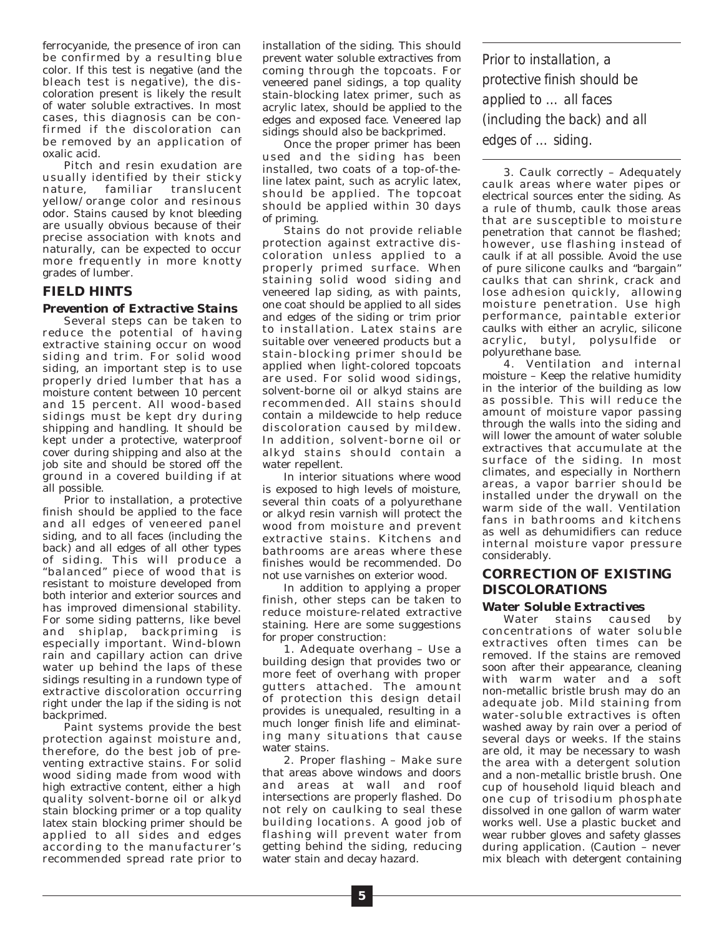ferrocyanide, the presence of iron can be confirmed by a resulting blue color. If this test is negative (and the bleach test is negative), the discoloration present is likely the result of water soluble extractives. In most cases, this diagnosis can be confirmed if the discoloration can be removed by an application of oxalic acid.

Pitch and resin exudation are usually identified by their sticky nature, familiar translucent yellow/orange color and resinous odor. Stains caused by knot bleeding are usually obvious because of their precise association with knots and naturally, can be expected to occur more frequently in more knotty grades of lumber.

## **FIELD HINTS**

#### *Prevention of Extractive Stains*

Several steps can be taken to reduce the potential of having extractive staining occur on wood siding and trim. For solid wood siding, an important step is to use properly dried lumber that has a moisture content between 10 percent and 15 percent. All wood-based sidings must be kept dry during shipping and handling. It should be kept under a protective, waterproof cover during shipping and also at the job site and should be stored off the ground in a covered building if at all possible.

Prior to installation, a protective finish should be applied to the face and all edges of veneered panel siding, and to all faces (including the back) and all edges of all other types of siding. This will produce a "balanced" piece of wood that is resistant to moisture developed from both interior and exterior sources and has improved dimensional stability. For some siding patterns, like bevel and shiplap, backpriming is especially important. Wind-blown rain and capillary action can drive water up behind the laps of these sidings resulting in a rundown type of extractive discoloration occurring right under the lap if the siding is not backprimed.

Paint systems provide the best protection against moisture and, therefore, do the best job of preventing extractive stains. For solid wood siding made from wood with high extractive content, either a high quality solvent-borne oil or alkyd stain blocking primer or a top quality latex stain blocking primer should be applied to all sides and edges according to the manufacturer's recommended spread rate prior to installation of the siding. This should prevent water soluble extractives from coming through the topcoats. For veneered panel sidings, a top quality stain-blocking latex primer, such as acrylic latex, should be applied to the edges and exposed face. Veneered lap sidings should also be backprimed.

Once the proper primer has been used and the siding has been installed, two coats of a top-of-theline latex paint, such as acrylic latex, should be applied. The topcoat should be applied within 30 days of priming.

Stains do not provide reliable protection against extractive discoloration unless applied to a properly primed surface. When staining solid wood siding and veneered lap siding, as with paints, one coat should be applied to all sides and edges of the siding or trim prior to installation. Latex stains are suitable over veneered products but a stain-blocking primer should be applied when light-colored topcoats are used. For solid wood sidings, solvent-borne oil or alkyd stains are recommended. All stains should contain a mildewcide to help reduce discoloration caused by mildew. In addition, solvent-borne oil or alkyd stains should contain a water repellent.

In interior situations where wood is exposed to high levels of moisture, several thin coats of a polyurethane or alkyd resin varnish will protect the wood from moisture and prevent extractive stains. Kitchens and bathrooms are areas where these finishes would be recommended. Do not use varnishes on exterior wood.

In addition to applying a proper finish, other steps can be taken to reduce moisture-related extractive staining. Here are some suggestions for proper construction:

1. *Adequate overhang –* Use a building design that provides two or more feet of overhang with proper gutters attached. The amount of protection this design detail provides is unequaled, resulting in a much longer finish life and eliminating many situations that cause water stains.

2. *Proper flashing –* Make sure that areas above windows and doors and areas at wall and roof intersections are properly flashed. Do not rely on caulking to seal these building locations. A good job of flashing will prevent water from getting behind the siding, reducing water stain and decay hazard.

*Prior to installation, a protective finish should be applied to … all faces (including the back) and all edges of … siding.*

3. *Caulk correctly –* Adequately caulk areas where water pipes or electrical sources enter the siding. As a rule of thumb, caulk those areas that are susceptible to moisture penetration that cannot be flashed; however, use flashing instead of caulk if at all possible. Avoid the use of pure silicone caulks and "bargain" caulks that can shrink, crack and lose adhesion quickly, allowing moisture penetration. Use high performance, paintable exterior caulks with either an acrylic, silicone acrylic, butyl, polysulfide or polyurethane base.

4. *Ventilation and internal moisture –* Keep the relative humidity in the interior of the building as low as possible. This will reduce the amount of moisture vapor passing through the walls into the siding and will lower the amount of water soluble extractives that accumulate at the surface of the siding. In most climates, and especially in Northern areas, a vapor barrier should be installed under the drywall on the warm side of the wall. Ventilation fans in bathrooms and kitchens as well as dehumidifiers can reduce internal moisture vapor pressure considerably.

## **CORRECTION OF EXISTING DISCOLORATIONS**

#### *Water Soluble Extractives*

Water stains caused by concentrations of water soluble extractives often times can be removed. If the stains are removed soon after their appearance, cleaning with warm water and a soft non-metallic bristle brush may do an adequate job. Mild staining from water-soluble extractives is often washed away by rain over a period of several days or weeks. If the stains are old, it may be necessary to wash the area with a detergent solution and a non-metallic bristle brush. One cup of household liquid bleach and one cup of trisodium phosphate dissolved in one gallon of warm water works well. Use a plastic bucket and wear rubber gloves and safety glasses during application. (Caution – never mix bleach with detergent containing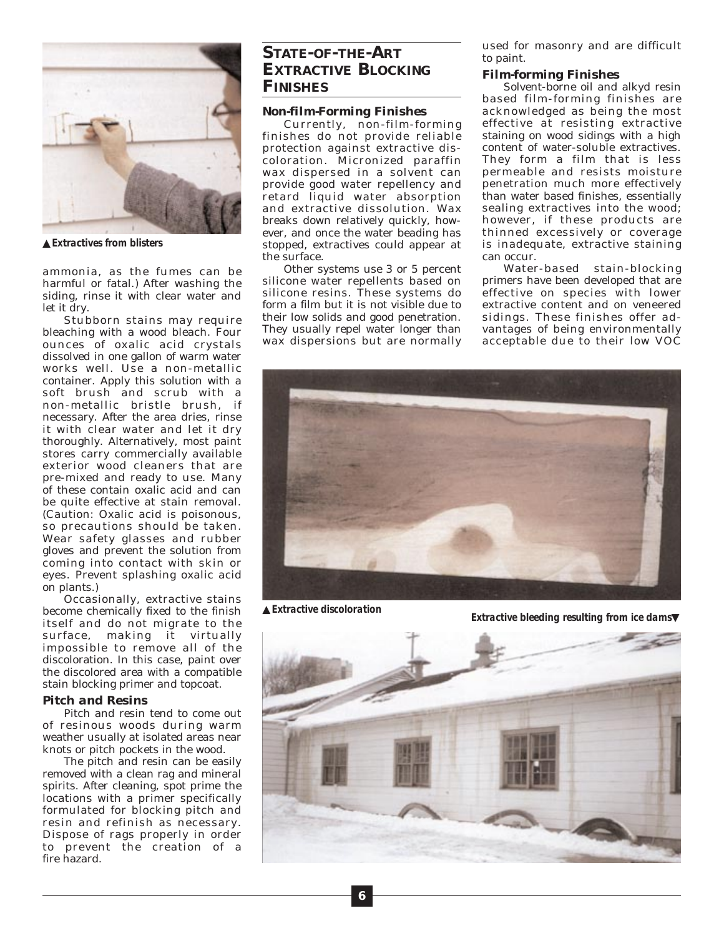

▲*Extractives from blisters*

ammonia, as the fumes can be harmful or fatal.) After washing the siding, rinse it with clear water and let it dry.

Stubborn stains may require bleaching with a wood bleach. Four ounces of oxalic acid crystals dissolved in one gallon of warm water works well. Use a non-metallic container. Apply this solution with a soft brush and scrub with a non-metallic bristle brush, if necessary. After the area dries, rinse it with clear water and let it dry thoroughly. Alternatively, most paint stores carry commercially available exterior wood cleaners that are pre-mixed and ready to use. Many of these contain oxalic acid and can be quite effective at stain removal. (Caution: Oxalic acid is poisonous, so precautions should be taken. Wear safety glasses and rubber gloves and prevent the solution from coming into contact with skin or eyes. Prevent splashing oxalic acid on plants.)

Occasionally, extractive stains become chemically fixed to the finish itself and do not migrate to the surface, making it virtually impossible to remove all of the discoloration. In this case, paint over the discolored area with a compatible stain blocking primer and topcoat.

#### *Pitch and Resins*

Pitch and resin tend to come out of resinous woods during warm weather usually at isolated areas near knots or pitch pockets in the wood.

The pitch and resin can be easily removed with a clean rag and mineral spirits. After cleaning, spot prime the locations with a primer specifically formulated for blocking pitch and resin and refinish as necessary. Dispose of rags properly in order to prevent the creation of a fire hazard.

## **STATE-OF-THE-ART EXTRACTIVE BLOCKING FINISHES**

#### *Non-film-Forming Finishes*

Currently, non-film-forming finishes do not provide reliable protection against extractive discoloration. Micronized paraffin wax dispersed in a solvent can provide good water repellency and retard liquid water absorption and extractive dissolution. Wax breaks down relatively quickly, however, and once the water beading has stopped, extractives could appear at the surface.

Other systems use 3 or 5 percent silicone water repellents based on silicone resins. These systems do form a film but it is not visible due to their low solids and good penetration. They usually repel water longer than wax dispersions but are normally used for masonry and are difficult to paint.

#### *Film-forming Finishes*

Solvent-borne oil and alkyd resin based film-forming finishes are acknowledged as being the most effective at resisting extractive staining on wood sidings with a high content of water-soluble extractives. They form a film that is less permeable and resists moisture penetration much more effectively than water based finishes, essentially sealing extractives into the wood; however, if these products are thinned excessively or coverage is inadequate, extractive staining can occur.

Water-based stain-blocking primers have been developed that are effective on species with lower extractive content and on veneered sidings. These finishes offer advantages of being environmentally acceptable due to their low VOC



▲*Extractive discoloration*

*Extractive bleeding resulting from ice dams*▼

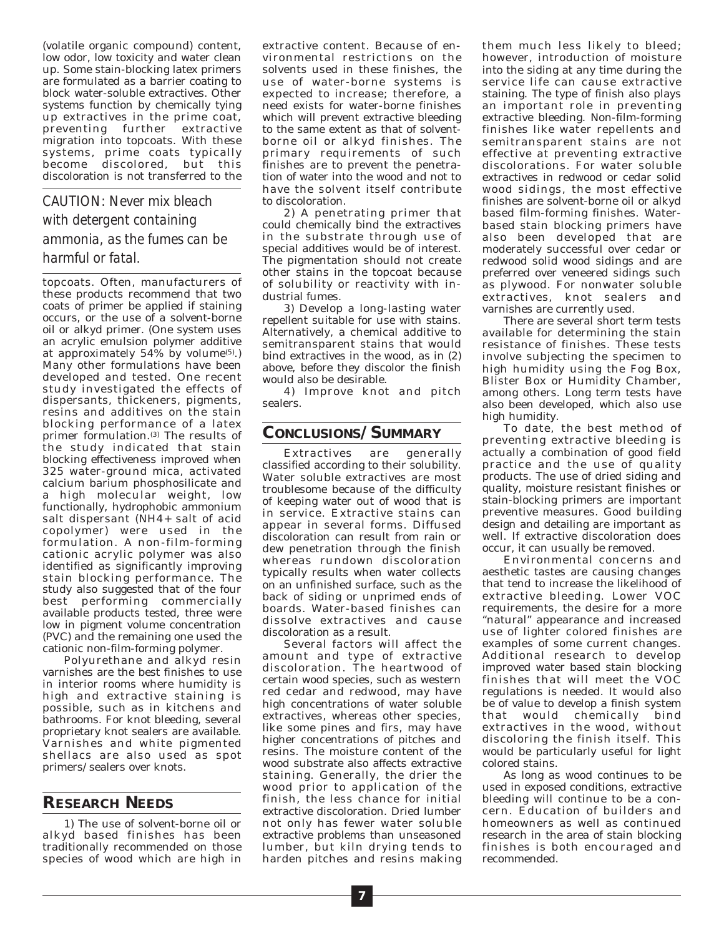(volatile organic compound) content, low odor, low toxicity and water clean up. Some stain-blocking latex primers are formulated as a barrier coating to block water-soluble extractives. Other systems function by chemically tying up extractives in the prime coat, preventing further extractive migration into topcoats. With these systems, prime coats typically become discolored, but this discoloration is not transferred to the

# *CAUTION: Never mix bleach with detergent containing ammonia, as the fumes can be harmful or fatal.*

topcoats. Often, manufacturers of these products recommend that two coats of primer be applied if staining occurs, or the use of a solvent-borne oil or alkyd primer. (One system uses an acrylic emulsion polymer additive at approximately  $54\%$  by volume<sup>(5)</sup>.) Many other formulations have been developed and tested. One recent study investigated the effects of dispersants, thickeners, pigments, resins and additives on the stain blocking performance of a latex primer formulation.<sup>(3)</sup> The results of the study indicated that stain blocking effectiveness improved when 325 water-ground mica, activated calcium barium phosphosilicate and a high molecular weight, low functionally, hydrophobic ammonium salt dispersant (NH4+ salt of acid copolymer) were used in the formulation. A non-film-forming cationic acrylic polymer was also identified as significantly improving stain blocking performance. The study also suggested that of the four best performing commercially available products tested, three were low in pigment volume concentration (PVC) and the remaining one used the cationic non-film-forming polymer.

Polyurethane and alkyd resin varnishes are the best finishes to use in interior rooms where humidity is high and extractive staining is possible, such as in kitchens and bathrooms. For knot bleeding, several proprietary knot sealers are available. Varnishes and white pigmented shellacs are also used as spot primers/sealers over knots.

## **RESEARCH NEEDS**

1) The use of solvent-borne oil or alkyd based finishes has been traditionally recommended on those species of wood which are high in extractive content. Because of environmental restrictions on the solvents used in these finishes, the use of water-borne systems is expected to increase; therefore, a need exists for water-borne finishes which will prevent extractive bleeding to the same extent as that of solventborne oil or alkyd finishes. The primary requirements of such finishes are to prevent the penetration of water into the wood and not to have the solvent itself contribute to discoloration.

2) A penetrating primer that could chemically bind the extractives in the substrate through use of special additives would be of interest. The pigmentation should not create other stains in the topcoat because of solubility or reactivity with industrial fumes.

3) Develop a long-lasting water repellent suitable for use with stains. Alternatively, a chemical additive to semitransparent stains that would bind extractives in the wood, as in (2) above, before they discolor the finish would also be desirable.

4) Improve knot and pitch sealers.

## **CONCLUSIONS/SUMMARY**

Extractives are generally classified according to their solubility. Water soluble extractives are most troublesome because of the difficulty of keeping water out of wood that is in service. Extractive stains can appear in several forms. Diffused discoloration can result from rain or dew penetration through the finish whereas rundown discoloration typically results when water collects on an unfinished surface, such as the back of siding or unprimed ends of boards. Water-based finishes can dissolve extractives and cause discoloration as a result.

Several factors will affect the amount and type of extractive discoloration. The heartwood of certain wood species, such as western red cedar and redwood, may have high concentrations of water soluble extractives, whereas other species, like some pines and firs, may have higher concentrations of pitches and resins. The moisture content of the wood substrate also affects extractive staining. Generally, the drier the wood prior to application of the finish, the less chance for initial extractive discoloration. Dried lumber not only has fewer water soluble extractive problems than unseasoned lumber, but kiln drying tends to harden pitches and resins making

them much less likely to bleed; however, introduction of moisture into the siding at any time during the service life can cause extractive staining. The type of finish also plays an important role in preventing extractive bleeding. Non-film-forming finishes like water repellents and semitransparent stains are not effective at preventing extractive discolorations. For water soluble extractives in redwood or cedar solid wood sidings, the most effective finishes are solvent-borne oil or alkyd based film-forming finishes. Waterbased stain blocking primers have also been developed that are moderately successful over cedar or redwood solid wood sidings and are preferred over veneered sidings such as plywood. For nonwater soluble extractives, knot sealers and varnishes are currently used.

There are several short term tests available for determining the stain resistance of finishes. These tests involve subjecting the specimen to high humidity using the Fog Box, Blister Box or Humidity Chamber, among others. Long term tests have also been developed, which also use high humidity.

To date, the best method of preventing extractive bleeding is actually a combination of good field practice and the use of quality products. The use of dried siding and quality, moisture resistant finishes or stain-blocking primers are important preventive measures. Good building design and detailing are important as well. If extractive discoloration does occur, it can usually be removed.

Environmental concerns and aesthetic tastes are causing changes that tend to increase the likelihood of extractive bleeding. Lower VOC requirements, the desire for a more "natural" appearance and increased use of lighter colored finishes are examples of some current changes. Additional research to develop improved water based stain blocking finishes that will meet the VOC regulations is needed. It would also be of value to develop a finish system that would chemically bind extractives in the wood, without discoloring the finish itself. This would be particularly useful for light colored stains.

As long as wood continues to be used in exposed conditions, extractive bleeding will continue to be a concern. Education of builders and homeowners as well as continued research in the area of stain blocking finishes is both encouraged and recommended.